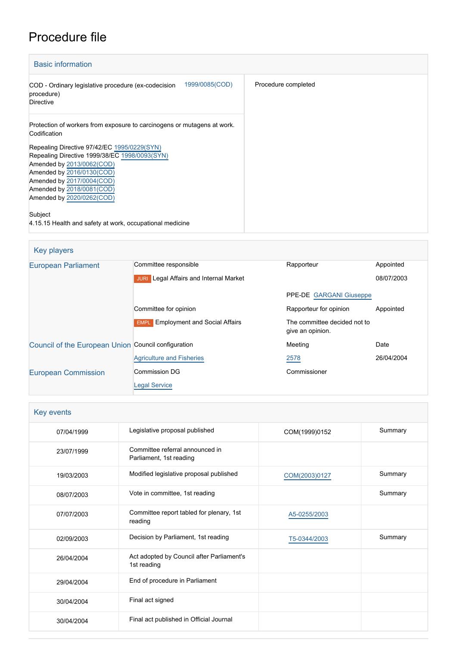# Procedure file

| <b>Basic information</b>                                                                                                               |                     |  |  |
|----------------------------------------------------------------------------------------------------------------------------------------|---------------------|--|--|
| 1999/0085(COD)<br>COD - Ordinary legislative procedure (ex-codecision<br>procedure)<br><b>Directive</b>                                | Procedure completed |  |  |
| Protection of workers from exposure to carcinogens or mutagens at work.<br>Codification<br>Repealing Directive 97/42/EC 1995/0229(SYN) |                     |  |  |
| Repealing Directive 1999/38/EC 1998/0093(SYN)<br>Amended by 2013/0062(COD)<br>Amended by 2016/0130(COD)                                |                     |  |  |
| Amended by 2017/0004(COD)<br>Amended by 2018/0081(COD)<br>Amended by 2020/0262(COD)                                                    |                     |  |  |
| Subject<br>4.15.15 Health and safety at work, occupational medicine                                                                    |                     |  |  |

| Key players                                         |                                                  |                                                  |            |  |
|-----------------------------------------------------|--------------------------------------------------|--------------------------------------------------|------------|--|
| <b>European Parliament</b>                          | Committee responsible                            | Rapporteur                                       | Appointed  |  |
|                                                     | Legal Affairs and Internal Market<br><b>JURI</b> |                                                  | 08/07/2003 |  |
|                                                     |                                                  | PPE-DE GARGANI Giuseppe                          |            |  |
|                                                     | Committee for opinion                            | Rapporteur for opinion                           | Appointed  |  |
|                                                     | <b>EMPL</b> Employment and Social Affairs        | The committee decided not to<br>give an opinion. |            |  |
| Council of the European Union Council configuration |                                                  | Meeting                                          | Date       |  |
|                                                     | <b>Agriculture and Fisheries</b>                 | 2578                                             | 26/04/2004 |  |
| <b>European Commission</b>                          | Commission DG                                    | Commissioner                                     |            |  |
|                                                     | <b>Legal Service</b>                             |                                                  |            |  |

| Key events |                                                            |               |         |  |
|------------|------------------------------------------------------------|---------------|---------|--|
| 07/04/1999 | Legislative proposal published                             | COM(1999)0152 | Summary |  |
| 23/07/1999 | Committee referral announced in<br>Parliament, 1st reading |               |         |  |
| 19/03/2003 | Modified legislative proposal published                    | COM(2003)0127 | Summary |  |
| 08/07/2003 | Vote in committee, 1st reading                             |               | Summary |  |
| 07/07/2003 | Committee report tabled for plenary, 1st<br>reading        | A5-0255/2003  |         |  |
| 02/09/2003 | Decision by Parliament, 1st reading                        | T5-0344/2003  | Summary |  |
| 26/04/2004 | Act adopted by Council after Parliament's<br>1st reading   |               |         |  |
| 29/04/2004 | End of procedure in Parliament                             |               |         |  |
| 30/04/2004 | Final act signed                                           |               |         |  |
| 30/04/2004 | Final act published in Official Journal                    |               |         |  |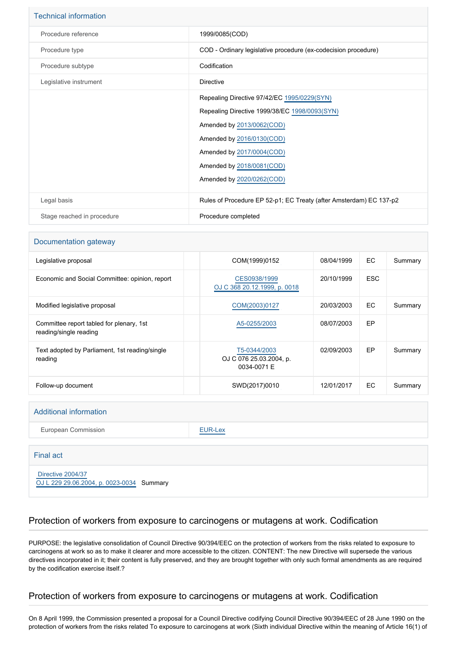| <b>Technical information</b> |                                                                                                                                                                                                                                               |
|------------------------------|-----------------------------------------------------------------------------------------------------------------------------------------------------------------------------------------------------------------------------------------------|
| Procedure reference          | 1999/0085(COD)                                                                                                                                                                                                                                |
| Procedure type               | COD - Ordinary legislative procedure (ex-codecision procedure)                                                                                                                                                                                |
| Procedure subtype            | Codification                                                                                                                                                                                                                                  |
| Legislative instrument       | Directive                                                                                                                                                                                                                                     |
|                              | Repealing Directive 97/42/EC 1995/0229(SYN)<br>Repealing Directive 1999/38/EC 1998/0093(SYN)<br>Amended by 2013/0062(COD)<br>Amended by 2016/0130(COD)<br>Amended by 2017/0004(COD)<br>Amended by 2018/0081(COD)<br>Amended by 2020/0262(COD) |
| Legal basis                  | Rules of Procedure EP 52-p1; EC Treaty (after Amsterdam) EC 137-p2                                                                                                                                                                            |
| Stage reached in procedure   | Procedure completed                                                                                                                                                                                                                           |

#### Documentation gateway

| Legislative proposal                                               | COM(1999)0152                                          | 08/04/1999 | EC.        | Summary |
|--------------------------------------------------------------------|--------------------------------------------------------|------------|------------|---------|
| Economic and Social Committee: opinion, report                     | CES0938/1999<br>OJ C 368 20.12.1999, p. 0018           | 20/10/1999 | <b>ESC</b> |         |
| Modified legislative proposal                                      | COM(2003)0127                                          | 20/03/2003 | EC.        | Summary |
| Committee report tabled for plenary, 1st<br>reading/single reading | A5-0255/2003                                           | 08/07/2003 | <b>EP</b>  |         |
| Text adopted by Parliament, 1st reading/single<br>reading          | T5-0344/2003<br>OJ C 076 25.03.2004, p.<br>0034-0071 E | 02/09/2003 | EP.        | Summary |
| Follow-up document                                                 | SWD(2017)0010                                          | 12/01/2017 | EC.        | Summary |

#### Additional information

European Commission **[EUR-Lex](http://ec.europa.eu/prelex/liste_resultats.cfm?CL=en&ReqId=0&DocType=COD&DocYear=1999&DocNum=0085)** 

#### Final act

 [Directive 2004/37](https://eur-lex.europa.eu/smartapi/cgi/sga_doc?smartapi!celexplus!prod!CELEXnumdoc&lg=EN&numdoc=32004L0037) [OJ L 229 29.06.2004, p. 0023-0034](https://eur-lex.europa.eu/legal-content/EN/TXT/?uri=OJ:L:2004:229:TOC) Summary

### Protection of workers from exposure to carcinogens or mutagens at work. Codification

PURPOSE: the legislative consolidation of Council Directive 90/394/EEC on the protection of workers from the risks related to exposure to carcinogens at work so as to make it clearer and more accessible to the citizen. CONTENT: The new Directive will supersede the various directives incorporated in it; their content is fully preserved, and they are brought together with only such formal amendments as are required by the codification exercise itself.?

#### Protection of workers from exposure to carcinogens or mutagens at work. Codification

On 8 April 1999, the Commission presented a proposal for a Council Directive codifying Council Directive 90/394/EEC of 28 June 1990 on the protection of workers from the risks related To exposure to carcinogens at work (Sixth individual Directive within the meaning of Article 16(1) of